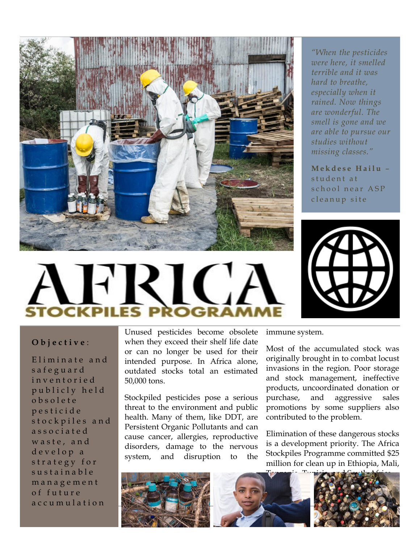

*"When the pesticides were here, it smelled terrible and it was hard to breathe, especially when it rained. Now things are wonderful. The smell is gone and we are able to pursue our studies without missing classes."*

**M e k d e s e H a i l u** – student at school near ASP cleanup site



## **O b j e c t i v e** :

Eliminate and s a f e g u a r d inventoried publicly held o b s o l e t e p e s t i c i d e stockpiles and a s s o c i a t e d waste, and d e v e l o p a strategy for sustainable m a n a g e m e n t o f f u t u r e a c c u m u l a t i o n

Unused pesticides become obsolete when they exceed their shelf life date or can no longer be used for their intended purpose. In Africa alone, outdated stocks total an estimated 50,000 tons.

Stockpiled pesticides pose a serious threat to the environment and public health. Many of them, like DDT, are Persistent Organic Pollutants and can cause cancer, allergies, reproductive disorders, damage to the nervous system, and disruption to the immune system.

Most of the accumulated stock was originally brought in to combat locust invasions in the region. Poor storage and stock management, ineffective products, uncoordinated donation or purchase, and aggressive sales promotions by some suppliers also contributed to the problem.

Elimination of these dangerous stocks is a development priority. The Africa Stockpiles Programme committed \$25 million for clean up in Ethiopia, Mali,